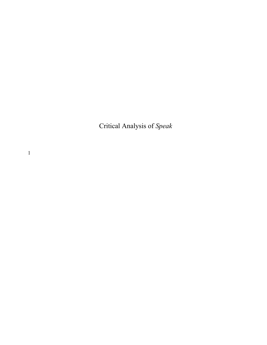Critical Analysis of *Speak*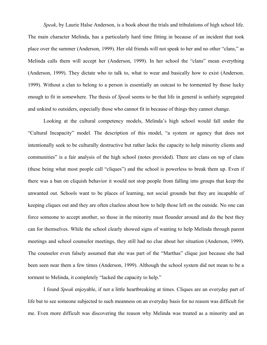*Speak*, by Laurie Halse Anderson, is a book about the trials and tribulations of high school life. The main character Melinda, has a particularly hard time fitting in because of an incident that took place over the summer (Anderson, 1999). Her old friends will not speak to her and no other "clans," as Melinda calls them will accept her (Anderson, 1999). In her school the "clans" mean everything (Anderson, 1999). They dictate who to talk to, what to wear and basically how to exist (Anderson. 1999). Without a clan to belong to a person is essentially an outcast to be tormented by those lucky enough to fit in somewhere. The thesis of *Speak* seems to be that life in general is unfairly segregated and unkind to outsiders, especially those who cannot fit in because of things they cannot change.

Looking at the cultural competency models, Melinda's high school would fall under the "Cultural Incapacity" model. The description of this model, "a system or agency that does not intentionally seek to be culturally destructive but rather lacks the capacity to help minority clients and communities" is a fair analysis of the high school (notes provided). There are clans on top of clans (these being what most people call "cliques") and the school is powerless to break them up. Even if there was a ban on cliquish behavior it would not stop people from falling into groups that keep the unwanted out. Schools want to be places of learning, not social grounds but they are incapable of keeping cliques out and they are often clueless about how to help those left on the outside. No one can force someone to accept another, so those in the minority must flounder around and do the best they can for themselves. While the school clearly showed signs of wanting to help Melinda through parent meetings and school counselor meetings, they still had no clue about her situation (Anderson, 1999). The counselor even falsely assumed that she was part of the "Marthas" clique just because she had been seen near them a few times (Anderson, 1999). Although the school system did not mean to be a torment to Melinda, it completely "lacked the capacity to help."

I found *Speak* enjoyable, if not a little heartbreaking at times. Cliques are an everyday part of life but to see someone subjected to such meanness on an everyday basis for no reason was difficult for me. Even more difficult was discovering the reason why Melinda was treated as a minority and an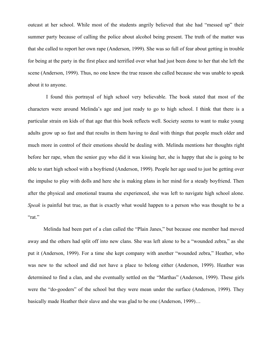outcast at her school. While most of the students angrily believed that she had "messed up" their summer party because of calling the police about alcohol being present. The truth of the matter was that she called to report her own rape (Anderson, 1999). She was so full of fear about getting in trouble for being at the party in the first place and terrified over what had just been done to her that she left the scene (Anderson, 1999). Thus, no one knew the true reason she called because she was unable to speak about it to anyone.

I found this portrayal of high school very believable. The book stated that most of the characters were around Melinda's age and just ready to go to high school. I think that there is a particular strain on kids of that age that this book reflects well. Society seems to want to make young adults grow up so fast and that results in them having to deal with things that people much older and much more in control of their emotions should be dealing with. Melinda mentions her thoughts right before her rape, when the senior guy who did it was kissing her, she is happy that she is going to be able to start high school with a boyfriend (Anderson, 1999). People her age used to just be getting over the impulse to play with dolls and here she is making plans in her mind for a steady boyfriend. Then after the physical and emotional trauma she experienced, she was left to navigate high school alone. *Speak* is painful but true, as that is exactly what would happen to a person who was thought to be a "rat."

Melinda had been part of a clan called the "Plain Janes," but because one member had moved away and the others had split off into new clans. She was left alone to be a "wounded zebra," as she put it (Anderson, 1999). For a time she kept company with another "wounded zebra," Heather, who was new to the school and did not have a place to belong either (Anderson, 1999). Heather was determined to find a clan, and she eventually settled on the "Marthas" (Anderson, 1999). These girls were the "do-gooders" of the school but they were mean under the surface (Anderson, 1999). They basically made Heather their slave and she was glad to be one (Anderson, 1999)…